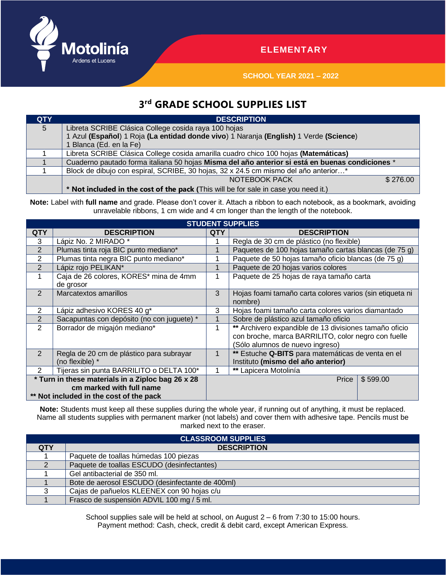

## **ELEMENTARY**

**SCHOOL YEAR 2021 – 2022**

## **3 rd GRADE SCHOOL SUPPLIES LIST**

| <b>QTY</b> | <b>DESCRIPTION</b>                                                                              |          |  |  |  |
|------------|-------------------------------------------------------------------------------------------------|----------|--|--|--|
| 5          | Libreta SCRIBE Clásica College cosida raya 100 hojas                                            |          |  |  |  |
|            | 1 Azul (Español) 1 Roja (La entidad donde vivo) 1 Naranja (English) 1 Verde (Science)           |          |  |  |  |
|            | 1 Blanca (Ed. en la Fe)                                                                         |          |  |  |  |
|            | Libreta SCRIBE Clásica College cosida amarilla cuadro chico 100 hojas (Matemáticas)             |          |  |  |  |
|            | Cuaderno pautado forma italiana 50 hojas Misma del año anterior si está en buenas condiciones * |          |  |  |  |
|            | Block de dibujo con espiral, SCRIBE, 30 hojas, 32 x 24.5 cm mismo del año anterior*             |          |  |  |  |
|            | NOTEBOOK PACK                                                                                   | \$276.00 |  |  |  |
|            | * Not included in the cost of the pack (This will be for sale in case you need it.)             |          |  |  |  |

Note: Label with full name and grade. Please don't cover it. Attach a ribbon to each notebook, as a bookmark, avoiding unravelable ribbons, 1 cm wide and 4 cm longer than the length of the notebook.

| <b>STUDENT SUPPLIES</b>                           |                                            |     |                                                          |  |  |  |  |  |
|---------------------------------------------------|--------------------------------------------|-----|----------------------------------------------------------|--|--|--|--|--|
| <b>QTY</b>                                        | <b>DESCRIPTION</b>                         | QTY | <b>DESCRIPTION</b>                                       |  |  |  |  |  |
| 3                                                 | Lápiz No. 2 MIRADO *                       |     | Regla de 30 cm de plástico (no flexible)                 |  |  |  |  |  |
| 2                                                 | Plumas tinta roja BIC punto mediano*       |     | Paquetes de 100 hojas tamaño cartas blancas (de 75 g)    |  |  |  |  |  |
| $\overline{2}$                                    | Plumas tinta negra BIC punto mediano*      |     | Paquete de 50 hojas tamaño oficio blancas (de 75 g)      |  |  |  |  |  |
| 2                                                 | Lápiz rojo PELIKAN*                        |     | Paquete de 20 hojas varios colores                       |  |  |  |  |  |
|                                                   | Caja de 26 colores, KORES* mina de 4mm     |     | Paquete de 25 hojas de raya tamaño carta                 |  |  |  |  |  |
|                                                   | de grosor                                  |     |                                                          |  |  |  |  |  |
| $\mathcal{P}$                                     | Marcatextos amarillos                      | 3   | Hojas foami tamaño carta colores varios (sin etiqueta ni |  |  |  |  |  |
|                                                   |                                            |     | nombre)                                                  |  |  |  |  |  |
| 2                                                 | Lápiz adhesivo KORES 40 g*                 | 3   | Hojas foami tamaño carta colores varios diamantado       |  |  |  |  |  |
| 2                                                 | Sacapuntas con depósito (no con juguete) * |     | Sobre de plástico azul tamaño oficio                     |  |  |  |  |  |
| $\overline{2}$                                    | Borrador de migajón mediano*               |     | ** Archivero expandible de 13 divisiones tamaño oficio   |  |  |  |  |  |
|                                                   |                                            |     | con broche, marca BARRILITO, color negro con fuelle      |  |  |  |  |  |
|                                                   |                                            |     | (Sólo alumnos de nuevo ingreso)                          |  |  |  |  |  |
| 2                                                 | Regla de 20 cm de plástico para subrayar   |     | ** Estuche Q-BITS para matemáticas de venta en el        |  |  |  |  |  |
|                                                   | (no flexible) *                            |     | Instituto (mismo del año anterior)                       |  |  |  |  |  |
| $\mathcal{P}$                                     | Tijeras sin punta BARRILITO o DELTA 100*   |     | ** Lapicera Motolinía                                    |  |  |  |  |  |
| * Turn in these materials in a Ziploc bag 26 x 28 |                                            |     | Price<br>\$599.00                                        |  |  |  |  |  |
| cm marked with full name                          |                                            |     |                                                          |  |  |  |  |  |
| ** Not included in the cost of the pack           |                                            |     |                                                          |  |  |  |  |  |

**Note:** Students must keep all these supplies during the whole year, if running out of anything, it must be replaced. Name all students supplies with permanent marker (not labels) and cover them with adhesive tape. Pencils must be marked next to the eraser.

| <b>CLASSROOM SUPPLIES</b> |                                                 |  |  |  |  |  |
|---------------------------|-------------------------------------------------|--|--|--|--|--|
| <b>QTY</b>                | <b>DESCRIPTION</b>                              |  |  |  |  |  |
|                           | Paquete de toallas húmedas 100 piezas           |  |  |  |  |  |
|                           | Paquete de toallas ESCUDO (desinfectantes)      |  |  |  |  |  |
|                           | Gel antibacterial de 350 ml.                    |  |  |  |  |  |
|                           | Bote de aerosol ESCUDO (desinfectante de 400ml) |  |  |  |  |  |
|                           | Cajas de pañuelos KLEENEX con 90 hojas c/u      |  |  |  |  |  |
|                           | Frasco de suspensión ADVIL 100 mg / 5 ml.       |  |  |  |  |  |

School supplies sale will be held at school, on August 2 – 6 from 7:30 to 15:00 hours. Payment method: Cash, check, credit & debit card, except American Express.